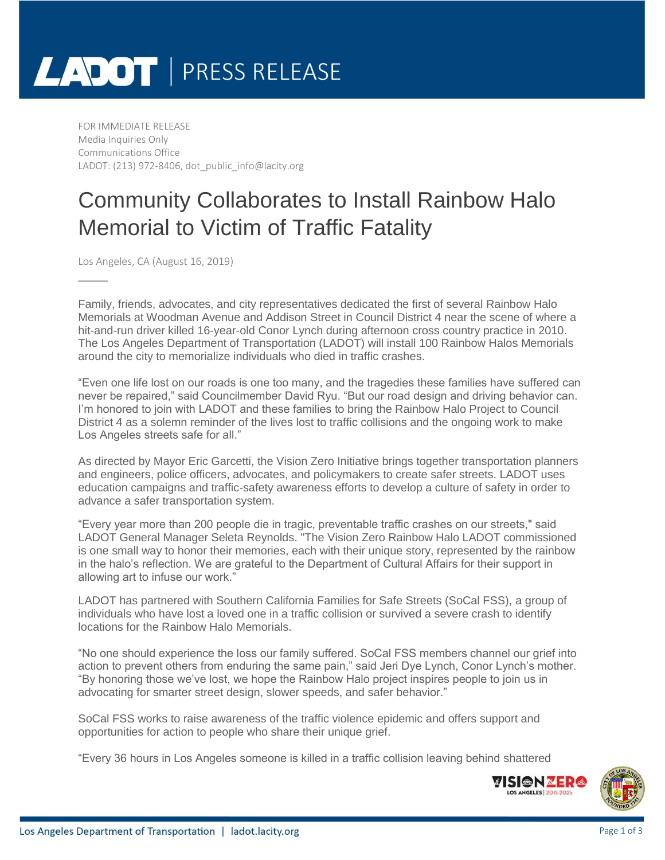# LADOT | PRESS RELEASE

FOR IMMEDIATE RELEASE Media Inquiries Only Communications Office LADOT: (213) 972-8406, dot\_public\_info@lacity.org

### Community Collaborates to Install Rainbow Halo Memorial to Victim of Traffic Fatality

Los Angeles, CA (August 16, 2019)

\_\_\_\_\_

Family, friends, advocates, and city representatives dedicated the first of several Rainbow Halo Memorials at Woodman Avenue and Addison Street in Council District 4 near the scene of where a hit-and-run driver killed 16-year-old Conor Lynch during afternoon cross country practice in 2010. The Los Angeles Department of Transportation (LADOT) will install 100 Rainbow Halos Memorials around the city to memorialize individuals who died in traffic crashes.

"Even one life lost on our roads is one too many, and the tragedies these families have suffered can never be repaired," said Councilmember David Ryu. "But our road design and driving behavior can. I'm honored to join with LADOT and these families to bring the Rainbow Halo Project to Council District 4 as a solemn reminder of the lives lost to traffic collisions and the ongoing work to make Los Angeles streets safe for all."

As directed by Mayor Eric Garcetti, the Vision Zero Initiative brings together transportation planners and engineers, police officers, advocates, and policymakers to create safer streets. LADOT uses education campaigns and traffic-safety awareness efforts to develop a culture of safety in order to advance a safer transportation system.

"Every year more than 200 people die in tragic, preventable traffic crashes on our streets," said LADOT General Manager Seleta Reynolds. "The Vision Zero Rainbow Halo LADOT commissioned is one small way to honor their memories, each with their unique story, represented by the rainbow in the halo's reflection. We are grateful to the Department of Cultural Affairs for their support in allowing art to infuse our work."

LADOT has partnered with Southern California Families for Safe Streets (SoCal FSS), a group of individuals who have lost a loved one in a traffic collision or survived a severe crash to identify locations for the Rainbow Halo Memorials.

"No one should experience the loss our family suffered. SoCal FSS members channel our grief into action to prevent others from enduring the same pain," said Jeri Dye Lynch, Conor Lynch's mother. "By honoring those we've lost, we hope the Rainbow Halo project inspires people to join us in advocating for smarter street design, slower speeds, and safer behavior."

SoCal FSS works to raise awareness of the traffic violence epidemic and offers support and opportunities for action to people who share their unique grief.

"Every 36 hours in Los Angeles someone is killed in a traffic collision leaving behind shattered



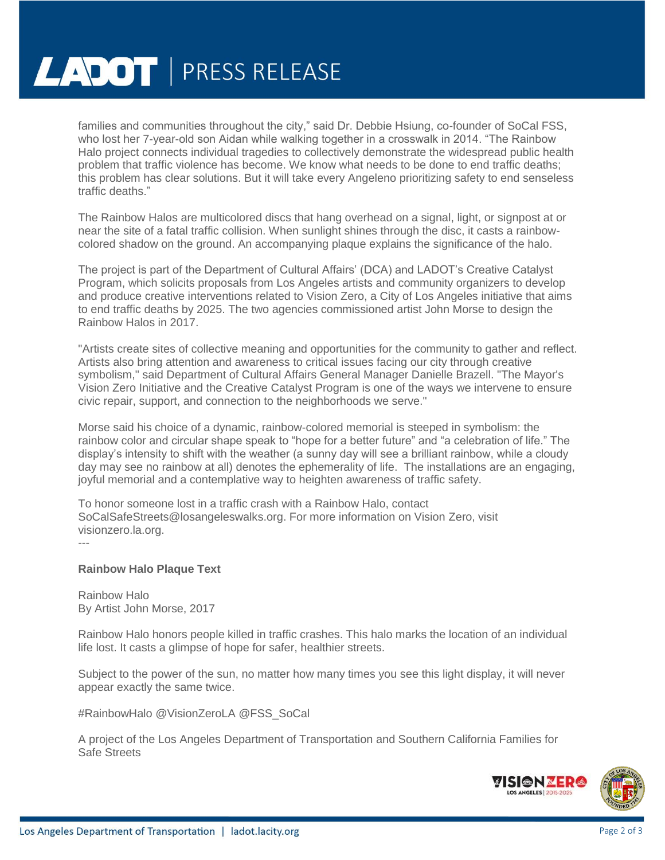## **LADOT** | PRESS RELEASE

families and communities throughout the city," said Dr. Debbie Hsiung, co-founder of SoCal FSS, who lost her 7-year-old son Aidan while walking together in a crosswalk in 2014. "The Rainbow Halo project connects individual tragedies to collectively demonstrate the widespread public health problem that traffic violence has become. We know what needs to be done to end traffic deaths; this problem has clear solutions. But it will take every Angeleno prioritizing safety to end senseless traffic deaths."

The Rainbow Halos are multicolored discs that hang overhead on a signal, light, or signpost at or near the site of a fatal traffic collision. When sunlight shines through the disc, it casts a rainbowcolored shadow on the ground. An accompanying plaque explains the significance of the halo.

The project is part of the Department of Cultural Affairs' (DCA) and LADOT's Creative Catalyst Program, which solicits proposals from Los Angeles artists and community organizers to develop and produce creative interventions related to Vision Zero, a City of Los Angeles initiative that aims to end traffic deaths by 2025. The two agencies commissioned artist John Morse to design the Rainbow Halos in 2017.

"Artists create sites of collective meaning and opportunities for the community to gather and reflect. Artists also bring attention and awareness to critical issues facing our city through creative symbolism," said Department of Cultural Affairs General Manager Danielle Brazell. "The Mayor's Vision Zero Initiative and the Creative Catalyst Program is one of the ways we intervene to ensure civic repair, support, and connection to the neighborhoods we serve."

Morse said his choice of a dynamic, rainbow-colored memorial is steeped in symbolism: the rainbow color and circular shape speak to "hope for a better future" and "a celebration of life." The display's intensity to shift with the weather (a sunny day will see a brilliant rainbow, while a cloudy day may see no rainbow at all) denotes the ephemerality of life. The installations are an engaging, joyful memorial and a contemplative way to heighten awareness of traffic safety.

To honor someone lost in a traffic crash with a Rainbow Halo, contact SoCalSafeStreets@losangeleswalks.org. For more information on Vision Zero, visit visionzero.la.org.

---

#### **Rainbow Halo Plaque Text**

Rainbow Halo By Artist John Morse, 2017

Rainbow Halo honors people killed in traffic crashes. This halo marks the location of an individual life lost. It casts a glimpse of hope for safer, healthier streets.

Subject to the power of the sun, no matter how many times you see this light display, it will never appear exactly the same twice.

#RainbowHalo @VisionZeroLA @FSS\_SoCal

A project of the Los Angeles Department of Transportation and Southern California Families for Safe Streets